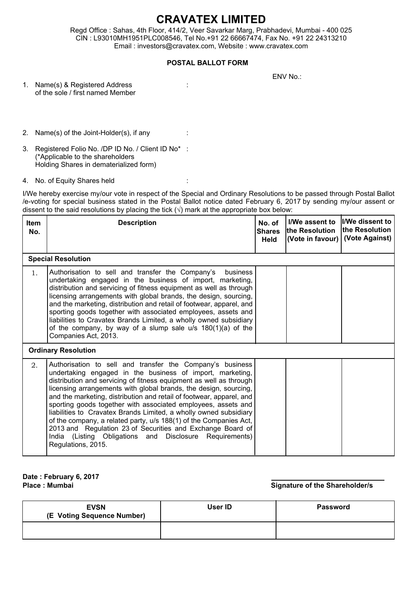## **CRAVATEX LIMITED**

Regd Office : Sahas, 4th Floor, 414/2, Veer Savarkar Marg, Prabhadevi, Mumbai - 400 025 CIN : L93010MH1951PLC008546, Tel No.+91 22 66667474, Fax No. +91 22 24313210 Email : investors@cravatex.com, Website : www.cravatex.com

## **POSTAL BALLOT FORM**

ENV No.:

- 1. Name(s) & Registered Address : of the sole / first named Member
- 2. Name(s) of the Joint-Holder(s), if any :
- 3. Registered Folio No. /DP ID No. / Client ID No\* : (\*Applicable to the shareholders Holding Shares in dematerialized form)
- 4. No. of Equity Shares held :

I/We hereby exercise my/our vote in respect of the Special and Ordinary Resolutions to be passed through Postal Ballot /e-voting for special business stated in the Postal Ballot notice dated February 6, 2017 by sending my/our assent or dissent to the said resolutions by placing the tick  $(\sqrt{})$  mark at the appropriate box below:

| <b>Item</b><br>No. | <b>Description</b>                                                                                                                                                                                                                                                                                                                                                                                                                                                                                                                                                                                                                                                                                 | No. of<br><b>Shares</b><br>Held | I/We assent to<br>the Resolution<br>(Vote in favour) | I/We dissent to<br>lthe Resolution<br>(Vote Against) |
|--------------------|----------------------------------------------------------------------------------------------------------------------------------------------------------------------------------------------------------------------------------------------------------------------------------------------------------------------------------------------------------------------------------------------------------------------------------------------------------------------------------------------------------------------------------------------------------------------------------------------------------------------------------------------------------------------------------------------------|---------------------------------|------------------------------------------------------|------------------------------------------------------|
|                    | <b>Special Resolution</b>                                                                                                                                                                                                                                                                                                                                                                                                                                                                                                                                                                                                                                                                          |                                 |                                                      |                                                      |
| 1 <sub>1</sub>     | Authorisation to sell and transfer the Company's<br>business<br>undertaking engaged in the business of import, marketing,<br>distribution and servicing of fitness equipment as well as through<br>licensing arrangements with global brands, the design, sourcing,<br>and the marketing, distribution and retail of footwear, apparel, and<br>sporting goods together with associated employees, assets and<br>liabilities to Cravatex Brands Limited, a wholly owned subsidiary<br>of the company, by way of a slump sale $u/s$ 180(1)(a) of the<br>Companies Act, 2013.                                                                                                                         |                                 |                                                      |                                                      |
|                    | <b>Ordinary Resolution</b>                                                                                                                                                                                                                                                                                                                                                                                                                                                                                                                                                                                                                                                                         |                                 |                                                      |                                                      |
| 2.                 | Authorisation to sell and transfer the Company's business<br>undertaking engaged in the business of import, marketing,<br>distribution and servicing of fitness equipment as well as through<br>licensing arrangements with global brands, the design, sourcing,<br>and the marketing, distribution and retail of footwear, apparel, and<br>sporting goods together with associated employees, assets and<br>liabilities to Cravatex Brands Limited, a wholly owned subsidiary<br>of the company, a related party, u/s 188(1) of the Companies Act,<br>2013 and Regulation 23 of Securities and Exchange Board of<br>India (Listing Obligations and Disclosure Requirements)<br>Regulations, 2015. |                                 |                                                      |                                                      |

**Date : February 6, 2017**

**Place : Mumbai Signature of the Shareholder/s**

| <b>EVSN</b><br>(E Voting Sequence Number) | User ID | <b>Password</b> |
|-------------------------------------------|---------|-----------------|
|                                           |         |                 |